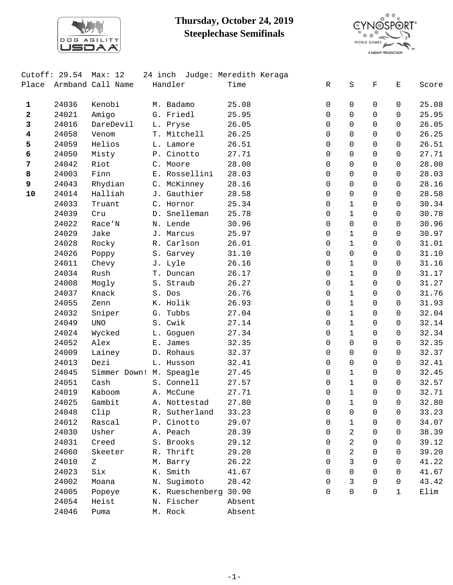

## **Thursday, October 24, 2019 Steeplechase Semifinals**



|            | Cutoff: $29.54$ | Max: 12                   | 24 inch         | Judge: Meredith Keraga |             |              |             |                                                                                                |       |
|------------|-----------------|---------------------------|-----------------|------------------------|-------------|--------------|-------------|------------------------------------------------------------------------------------------------|-------|
| Place      |                 | Armband Call Name         | Handler         | Time                   | R           | $\rm S$      | $\mathbf F$ | $\mathbf{E}% _{t}\left  \mathbf{1}\right\rangle =\mathbf{1}_{t}\left  \mathbf{1}\right\rangle$ | Score |
|            |                 |                           |                 |                        |             |              |             |                                                                                                |       |
| 1          | 24036           | Kenobi                    | M. Badamo       | 25.08                  | 0           | 0            | 0           | 0                                                                                              | 25.08 |
| 2          | 24021           | Amigo                     | G. Friedl       | 25.95                  | $\Omega$    | $\mathbf 0$  | $\Omega$    | $\Omega$                                                                                       | 25.95 |
| 3          | 24016           | DareDevil                 | L. Pryse        | 26.05                  | $\Omega$    | $\Omega$     | $\Omega$    | $\Omega$                                                                                       | 26.05 |
| 4          | 24058           | Venom                     | T. Mitchell     | 26.25                  | 0           | $\mathbf 0$  | $\mathbf 0$ | 0                                                                                              | 26.25 |
| 5          | 24059           | Helios                    | L. Lamore       | 26.51                  | 0           | $\mathbf 0$  | $\mathbf 0$ | 0                                                                                              | 26.51 |
| 6          | 24050           | Misty                     | P. Cinotto      | 27.71                  | $\Omega$    | $\mathbf 0$  | $\Omega$    | $\Omega$                                                                                       | 27.71 |
| 7          | 24042           | Riot                      | C. Moore        | 28.00                  | $\Omega$    | $\mathbf 0$  | $\Omega$    | $\Omega$                                                                                       | 28.00 |
| 8          | 24003           | Finn                      | E. Rossellini   | 28.03                  | 0           | $\mathbf 0$  | $\mathbf 0$ | 0                                                                                              | 28.03 |
| 9          | 24043           | Rhydian                   | C. McKinney     | 28.16                  | 0           | $\mathbf 0$  | $\mathbf 0$ | 0                                                                                              | 28.16 |
| ${\bf 10}$ | 24014           | Halliah                   | J. Gauthier     | 28.58                  | $\Omega$    | $\mathbf 0$  | $\Omega$    | $\Omega$                                                                                       | 28.58 |
|            | 24033           | Truant                    | C. Hornor       | 25.34                  | $\Omega$    | $\mathbf{1}$ | $\Omega$    | 0                                                                                              | 30.34 |
|            | 24039           | Cru                       | D. Snelleman    | 25.78                  | 0           | $\mathbf 1$  | $\Omega$    | 0                                                                                              | 30.78 |
|            | 24022           | Race'N                    | N. Lende        | 30.96                  | 0           | $\mathbf 0$  | 0           | 0                                                                                              | 30.96 |
|            | 24029           | Jake                      | J. Marcus       | 25.97                  | 0           | $\mathbf{1}$ | $\Omega$    | 0                                                                                              | 30.97 |
|            | 24028           | Rocky                     | R. Carlson      | 26.01                  | $\Omega$    | $\mathbf 1$  | $\Omega$    | 0                                                                                              | 31.01 |
|            | 24026           | Poppy                     | S. Garvey       | 31.10                  | $\Omega$    | $\mathbf 0$  | $\Omega$    | 0                                                                                              | 31.10 |
|            | 24011           | Chevy                     | J. Lyle         | 26.16                  | $\mathbf 0$ | $\mathbf 1$  | $\mathbf 0$ | 0                                                                                              | 31.16 |
|            | 24034           | Rush                      | T. Duncan       | 26.17                  | 0           | $\mathbf{1}$ | $\Omega$    | 0                                                                                              | 31.17 |
|            | 24008           | Mogly                     | S. Straub       | 26.27                  | $\Omega$    | $\mathbf 1$  | $\Omega$    | 0                                                                                              | 31.27 |
|            | 24037           | Knack                     | S. Dos          | 26.76                  | $\Omega$    | $\mathbf 1$  | $\Omega$    | 0                                                                                              | 31.76 |
|            | 24055           | Zenn                      | K. Holik        | 26.93                  | 0           | $\mathbf{1}$ | $\mathbf 0$ | 0                                                                                              | 31.93 |
|            | 24032           | Sniper                    | G. Tubbs        | 27.04                  | 0           | $\mathbf{1}$ | 0           | 0                                                                                              | 32.04 |
|            | 24049           | $\ensuremath{\text{UNO}}$ | S. Cwik         | 27.14                  | $\Omega$    | $\mathbf{1}$ | $\Omega$    | 0                                                                                              | 32.14 |
|            | 24024           | Wycked                    | L. Goguen       | 27.34                  | 0           | $\mathbf 1$  | $\Omega$    | 0                                                                                              | 32.34 |
|            | 24052           | Alex                      | E. James        | 32.35                  | $\mathbf 0$ | $\mathbf 0$  | $\mathbf 0$ | 0                                                                                              | 32.35 |
|            | 24009           | Lainey                    | D. Rohaus       | 32.37                  | 0           | $\mathbf 0$  | 0           | 0                                                                                              | 32.37 |
|            | 24013           | Dezi                      | L. Husson       | 32.41                  | $\Omega$    | $\mathbf 0$  | $\Omega$    | 0                                                                                              | 32.41 |
|            | 24045           | Simmer Down! M. Speagle   |                 | 27.45                  | $\Omega$    | $\mathbf{1}$ | $\Omega$    | 0                                                                                              | 32.45 |
|            | 24051           | Cash                      | S. Connell      | 27.57                  | 0           | $\mathbf 1$  | $\mathbf 0$ | 0                                                                                              | 32.57 |
|            | 24019           | Kaboom                    | A. McCune       | 27.71                  | $\mathbf 0$ | $\mathbf 1$  | $\Omega$    | $\Omega$                                                                                       | 32.71 |
|            | 24025           | Gambit                    | A. Nottestad    | 27.80                  | 0           | 1            | 0           | 0                                                                                              | 32.80 |
|            | 24048           | Clip                      | R. Sutherland   | 33.23                  | $\Omega$    | 0            | 0           | 0                                                                                              | 33.23 |
|            | 24012           | Rascal                    | P. Cinotto      | 29.07                  | 0           | $\mathbf{1}$ | 0           | 0                                                                                              | 34.07 |
|            | 24030           | Usher                     | A. Peach        | 28.39                  | $\Omega$    | 2            | $\Omega$    | 0                                                                                              | 38.39 |
|            | 24031           | Creed                     | S. Brooks       | 29.12                  | 0           | 2            | 0           | 0                                                                                              | 39.12 |
|            | 24060           | Skeeter                   | R. Thrift       | 29.20                  | 0           | 2            | $\Omega$    | 0                                                                                              | 39.20 |
|            | 24010           | Ζ                         | M. Barry        | 26.22                  | $\Omega$    | 3            | $\Omega$    | 0                                                                                              | 41.22 |
|            | 24023           | Six                       | K. Smith        | 41.67                  | $\Omega$    | $\mathbf 0$  | $\Omega$    | $\Omega$                                                                                       | 41.67 |
|            | 24002           | Moana                     | N. Sugimoto     | 28.42                  | 0           | 3            | $\Omega$    | 0                                                                                              | 43.42 |
|            | 24005           |                           |                 |                        | $\Omega$    | $\Omega$     | $\Omega$    | 1                                                                                              |       |
|            |                 | Popeye                    | K. Rueschenberg | 30.90                  |             |              |             |                                                                                                | Elim  |
|            | 24054           | Heist                     | N. Fischer      | Absent                 |             |              |             |                                                                                                |       |
|            | 24046           | Puma                      | M. Rock         | Absent                 |             |              |             |                                                                                                |       |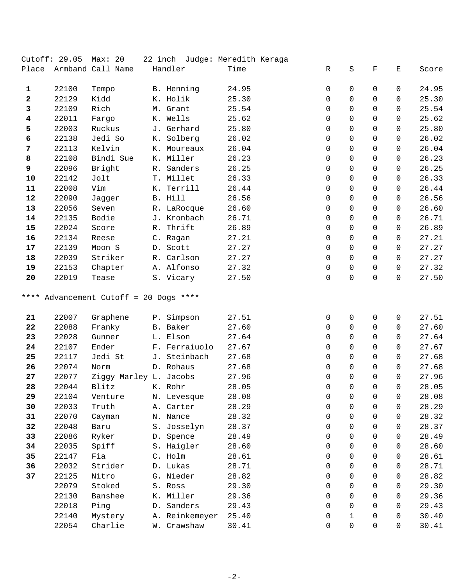|              | Cutoff: 29.05 | Max: 20                |                | 22 inch Judge: Meredith Keraga |             |                |              |              |       |
|--------------|---------------|------------------------|----------------|--------------------------------|-------------|----------------|--------------|--------------|-------|
| Place        |               | Armband Call Name      | Handler        | Time                           | R           | $\rm S$        | F            | Ε            | Score |
| $\mathbf{1}$ | 22100         | Tempo                  | B. Henning     | 24.95                          | 0           | 0              | 0            | 0            | 24.95 |
| $\mathbf{2}$ | 22129         | Kidd                   | K. Holik       | 25.30                          | $\mathbf 0$ | $\mathbf 0$    | 0            | 0            | 25.30 |
| 3            | 22109         | Rich                   | M. Grant       | 25.54                          | 0           | $\mathbf 0$    | $\Omega$     | 0            | 25.54 |
| 4            | 22011         | Fargo                  | K. Wells       | 25.62                          | $\Omega$    | 0              | $\Omega$     | 0            | 25.62 |
| 5            | 22003         | Ruckus                 | J. Gerhard     | 25.80                          | $\Omega$    | $\mathbf 0$    | $\Omega$     | 0            | 25.80 |
| 6            | 22138         | Jedi So                | K. Solberg     | 26.02                          | 0           | 0              | $\mathbf 0$  | 0            | 26.02 |
| 7            | 22113         | Kelvin                 | K. Moureaux    | 26.04                          | 0           | $\mathbf 0$    | 0            | 0            | 26.04 |
| 8            | 22108         | Bindi Sue              | K. Miller      | 26.23                          | $\Omega$    | $\mathbf 0$    | $\Omega$     | 0            | 26.23 |
| 9            | 22096         | Bright                 | R. Sanders     | 26.25                          | 0           | $\mathbf 0$    | $\Omega$     | 0            | 26.25 |
| ${\bf 10}$   | 22142         | Jolt                   | T. Millet      | 26.33                          | $\mathbf 0$ | 0              | $\mathbf 0$  | 0            | 26.33 |
| 11           | 22008         | Vim                    | K. Terrill     | 26.44                          | 0           | $\mathbf 0$    | 0            | 0            | 26.44 |
| 12           | 22090         | Jagger                 | B. Hill        | 26.56                          | $\Omega$    | 0              | $\Omega$     | 0            | 26.56 |
| 13           | 22056         | Seven                  | R. LaRocque    | 26.60                          | $\Omega$    | 0              | $\Omega$     | 0            | 26.60 |
| 14           | 22135         | Bodie                  | J. Kronbach    | 26.71                          | $\mathbf 0$ | 0              | $\mathbf 0$  | 0            | 26.71 |
| 15           | 22024         | Score                  | R. Thrift      | 26.89                          | 0           | $\mathbf 0$    | $\mathbf 0$  | 0            | 26.89 |
| 16           | 22134         | Reese                  | C. Ragan       | 27.21                          | $\Omega$    | $\mathbf 0$    | $\Omega$     | $\Omega$     | 27.21 |
| 17           | 22139         | Moon S                 | D. Scott       | 27.27                          | $\Omega$    | $\Omega$       | $\Omega$     | $\Omega$     | 27.27 |
| 18           | 22039         | Striker                | R. Carlson     | 27.27                          | $\mathbf 0$ | $\mathbf 0$    | $\mathbf 0$  | 0            | 27.27 |
| 19           | 22153         | Chapter                | A. Alfonso     | 27.32                          | 0           | $\mathbf 0$    | 0            | 0            | 27.32 |
| 20           | 22019         | Tease                  | S. Vicary      | 27.50                          | $\Omega$    | $\Omega$       | $\Omega$     | $\Omega$     | 27.50 |
| 21           | 22007         | Graphene               | P. Simpson     | 27.51                          | 0           | $\mathbf 0$    | 0            | 0            | 27.51 |
| 22           | 22088         | Franky                 | B. Baker       | 27.60                          | $\Omega$    | 0              | 0            | 0            | 27.60 |
| 23           | 22028         | Gunner                 | L. Elson       | 27.64                          | $\Omega$    | $\mathbf 0$    | $\Omega$     | 0            | 27.64 |
| 24           | 22107         | Ender                  | F. Ferraiuolo  | 27.67                          | $\mathbf 0$ | $\mathbf 0$    | 0            | 0            | 27.67 |
| 25           | 22117         | Jedi St                | J. Steinbach   | 27.68                          | 0           | $\mathbf 0$    | $\Omega$     | 0            | 27.68 |
| 26           | 22074         | Norm                   | D. Rohaus      | 27.68                          | $\Omega$    | 0              | $\Omega$     | 0            | 27.68 |
| 27           | 22077         | Ziggy Marley L. Jacobs |                | 27.96                          | 0           | $\mathbf 0$    | $\mathbf 0$  | 0            | 27.96 |
| 28           | 22044         | Blitz K. Rohr          |                | 28.05                          | 0           | $\mathsf{O}$   | $\mathsf{O}$ | $\mathsf{O}$ | 28.05 |
| 29           | 22104         | Venture                | N. Levesque    | 28.08                          | 0           | 0              | 0            | 0            | 28.08 |
| 30           | 22033         | Truth                  | A. Carter      | 28.29                          | $\Omega$    | $\Omega$       | $\Omega$     | 0            | 28.29 |
| 31           | 22070         | Cayman                 | N. Nance       | 28.32                          | $\Omega$    | $\Omega$       | $\Omega$     | 0            | 28.32 |
| 32           | 22048         | Baru                   | S. Josselyn    | 28.37                          | 0           | $\overline{0}$ | 0            | 0            | 28.37 |
| 33           | 22086         | Ryker                  | D. Spence      | 28.49                          | 0           | 0              | $\Omega$     | 0            | 28.49 |
| 34           | 22035         | Spiff                  | S. Haigler     | 28.60                          | 0           | $\Omega$       | 0            | 0            | 28.60 |
| 35           | 22147         | Fia                    | C. Holm        | 28.61                          | $\Omega$    | $\Omega$       | $\Omega$     | 0            | 28.61 |
| 36           | 22032         | Strider                | D. Lukas       | 28.71                          | 0           | $\overline{0}$ | 0            | 0            | 28.71 |
| 37           | 22125         | Nitro                  | G. Nieder      | 28.82                          | 0           | 0              | $\Omega$     | 0            | 28.82 |
|              | 22079         | Stoked                 | S. Ross        | 29.30                          | $\Omega$    | $\Omega$       | $\Omega$     | 0            | 29.30 |
|              | 22130         | Banshee                | K. Miller      | 29.36                          | $\Omega$    | $\Omega$       | $\Omega$     | 0            | 29.36 |
|              | 22018         | Ping                   | D. Sanders     | 29.43                          | $\Omega$    | $\mathbf 0$    | $\Omega$     | 0            | 29.43 |
|              | 22140         | Mystery                | A. Reinkemeyer | 25.40                          | 0           | $\mathbf 1$    | 0            | 0            | 30.40 |
|              | 22054         | Charlie                | W. Crawshaw    | 30.41                          | 0           | $\mathbf 0$    | 0            | 0            | 30.41 |
|              |               |                        |                |                                |             |                |              |              |       |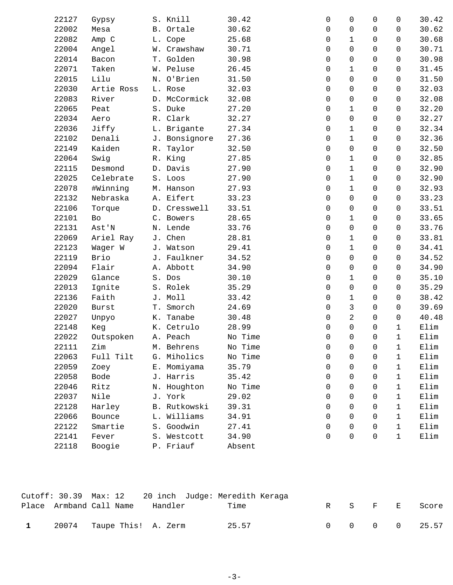| 22127 | Gypsy      |    | S. Knill      | 30.42   | 0        | 0            | $\Omega$            | 0            | 30.42 |
|-------|------------|----|---------------|---------|----------|--------------|---------------------|--------------|-------|
| 22002 | Mesa       |    | B. Ortale     | 30.62   | 0        | 0            | 0                   | 0            | 30.62 |
| 22082 | Amp C      |    | L. Cope       | 25.68   | 0        | $\mathbf{1}$ | 0                   | 0            | 30.68 |
| 22004 | Angel      |    | W. Crawshaw   | 30.71   | 0        | 0            | 0                   | 0            | 30.71 |
| 22014 | Bacon      |    | T. Golden     | 30.98   | 0        | $\mathbf 0$  | 0                   | 0            | 30.98 |
| 22071 | Taken      |    | W. Peluse     | 26.45   | 0        | $\mathbf{1}$ | 0                   | 0            | 31.45 |
| 22015 | Lilu       |    | N. O'Brien    | 31.50   | 0        | $\mathbf 0$  | 0                   | 0            | 31.50 |
| 22030 | Artie Ross |    | L. Rose       | 32.03   | 0        | 0            | 0                   | 0            | 32.03 |
| 22083 | River      |    | D. McCormick  | 32.08   | 0        | $\mathbf 0$  | 0                   | 0            | 32.08 |
| 22065 | Peat       |    | S. Duke       | 27.20   | 0        | $\mathbf{1}$ | 0                   | 0            | 32.20 |
| 22034 | Aero       |    | R. Clark      | 32.27   | 0        | $\mathbf 0$  | 0                   | 0            | 32.27 |
| 22036 | Jiffy      |    | L. Brigante   | 27.34   | 0        | $\mathbf{1}$ | 0                   | 0            | 32.34 |
| 22102 | Denali     |    | J. Bonsignore | 27.36   | 0        | $\mathbf{1}$ | 0                   | 0            | 32.36 |
| 22149 | Kaiden     |    | R. Taylor     | 32.50   | 0        | $\mathbf 0$  | 0                   | 0            | 32.50 |
| 22064 | Swig       |    | R. King       | 27.85   | 0        | $\mathbf{1}$ | 0                   | 0            | 32.85 |
| 22115 | Desmond    |    | D. Davis      | 27.90   | 0        | $\mathbf{1}$ | 0                   | 0            | 32.90 |
| 22025 | Celebrate  |    | S. Loos       | 27.90   | 0        | $\mathbf{1}$ | 0                   | 0            | 32.90 |
| 22078 | #Winning   |    | M. Hanson     | 27.93   | 0        | $\mathbf{1}$ | 0                   | 0            | 32.93 |
| 22132 | Nebraska   |    | A. Eifert     | 33.23   | 0        | $\Omega$     | 0                   | 0            | 33.23 |
| 22106 | Torque     |    | D. Cresswell  | 33.51   | 0        | $\mathbf 0$  | $\mathbf 0$         | 0            | 33.51 |
| 22101 | Bo         |    | C. Bowers     | 28.65   | 0        | $\mathbf 1$  | 0                   | 0            | 33.65 |
| 22131 | Ast'N      |    | N. Lende      | 33.76   | 0        | $\mathbf 0$  | 0                   | 0            | 33.76 |
| 22069 | Ariel Ray  |    | J. Chen       | 28.81   | 0        | $\mathbf{1}$ | 0                   | 0            | 33.81 |
| 22123 | Wager W    |    | J. Watson     | 29.41   | 0        | $\mathbf 1$  | 0                   | 0            | 34.41 |
| 22119 | Brio       |    | J. Faulkner   | 34.52   | 0        | 0            | $\mathsf{O}\xspace$ | 0            | 34.52 |
| 22094 | Flair      |    | A. Abbott     | 34.90   | 0        | $\mathbf 0$  | 0                   | 0            | 34.90 |
| 22029 | Glance     |    | S. Dos        | 30.10   | 0        | $\mathbf{1}$ | 0                   | 0            | 35.10 |
| 22013 | Ignite     |    | S. Rolek      | 35.29   | 0        | $\mathbf 0$  | $\mathbf 0$         | 0            | 35.29 |
| 22136 | Faith      |    | J. Moll       | 33.42   | 0        | $\mathbf 1$  | 0                   | 0            | 38.42 |
| 22020 | Burst      |    | T. Smorch     | 24.69   | 0        | 3            | 0                   | 0            | 39.69 |
| 22027 | Unpyo      | К. | Tanabe        | 30.48   | 0        | 2            | 0                   | $\mathbf 0$  | 40.48 |
| 22148 | Keg        |    | K. Cetrulo    | 28.99   | 0        | $\mathbf 0$  | $\Omega$            | $\mathbf{1}$ | Elim  |
| 22022 | Outspoken  |    | A. Peach      | No Time | 0        | $\mathsf 0$  | 0                   | $\mathbf{1}$ | Elim  |
| 22111 | Zim        |    | M. Behrens    | No Time | 0        | $\mathbf 0$  | $\mathbf 0$         | $\mathbf 1$  | Elim  |
| 22063 | Full Tilt  | G. | Miholics      | No Time | 0        | $\Omega$     | 0                   | 1            | Elim  |
| 22059 | Zoey       |    | E. Momiyama   | 35.79   | 0        | $\Omega$     | $\Omega$            | $\mathbf{1}$ | Elim  |
| 22058 | Bode       |    | J. Harris     | 35.42   | 0        | $\Omega$     | 0                   | $\mathbf{1}$ | Elim  |
| 22046 | Ritz       |    | N. Houghton   | No Time | 0        | $\Omega$     | 0                   | 1            | Elim  |
| 22037 | Nile       |    | J. York       | 29.02   | $\Omega$ | $\Omega$     | $\Omega$            | $\mathbf{1}$ | Elim  |
| 22128 | Harley     |    | B. Rutkowski  | 39.31   | $\Omega$ | $\Omega$     | $\Omega$            | $\mathbf{1}$ | Elim  |
| 22066 | Bounce     |    | L. Williams   | 34.91   | 0        | $\Omega$     | 0                   | $\mathbf{1}$ | Elim  |
| 22122 | Smartie    |    | S. Goodwin    | 27.41   | 0        | 0            | $\Omega$            | $\mathbf{1}$ | Elim  |
| 22141 | Fever      |    | S. Westcott   | 34.90   | 0        | $\mathbf 0$  | $\mathbf 0$         | $\mathbf{1}$ | Elim  |
| 22118 | Boogie     |    | P. Friauf     | Absent  |          |              |                     |              |       |
|       |            |    |               |         |          |              |                     |              |       |

|              |                           |         | Cutoff: 30.39 Max: 12 20 inch Judge: Meredith Keraga |  |  |                             |
|--------------|---------------------------|---------|------------------------------------------------------|--|--|-----------------------------|
|              | Place Armband Call Name   | Handler | Time                                                 |  |  | R S F E Score               |
|              |                           |         |                                                      |  |  |                             |
| $\mathbf{1}$ | 20074 Taupe This! A. Zerm |         | 25.57                                                |  |  | $0 \t 0 \t 0 \t 0 \t 25.57$ |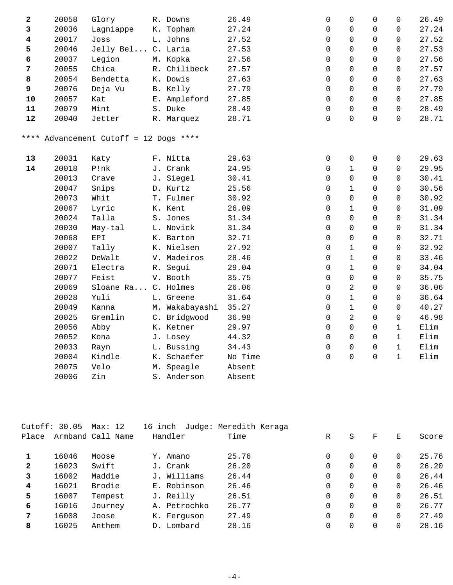| 2                       | 20058 | Glory                                  | R. Downs       | 26.49   | $\mathbf 0$ | $\mathbf 0$         | $\mathbf 0$ | $\mathbf 0$  | 26.49 |
|-------------------------|-------|----------------------------------------|----------------|---------|-------------|---------------------|-------------|--------------|-------|
| 3                       | 20036 | Lagniappe                              | K. Topham      | 27.24   | 0           | $\mathbf 0$         | $\mathbf 0$ | $\mathbf 0$  | 27.24 |
| $\overline{\mathbf{4}}$ | 20017 | Joss                                   | L. Johns       | 27.52   | 0           | $\Omega$            | $\Omega$    | $\Omega$     | 27.52 |
| 5                       | 20046 | Jelly Bel C. Laria                     |                | 27.53   | $\mathbf 0$ | 0                   | $\Omega$    | $\mathbf 0$  | 27.53 |
| 6                       | 20037 | Legion                                 | M. Kopka       | 27.56   | $\Omega$    | $\Omega$            | $\Omega$    | $\Omega$     | 27.56 |
| $\overline{7}$          | 20055 | Chica                                  | R. Chilibeck   | 27.57   | $\mathbf 0$ | $\Omega$            | $\Omega$    | $\mathbf 0$  | 27.57 |
| 8                       | 20054 | Bendetta                               | K. Dowis       | 27.63   | $\mathbf 0$ | 0                   | 0           | $\mathbf 0$  | 27.63 |
| 9                       | 20076 | Deja Vu                                | B. Kelly       | 27.79   | $\Omega$    | $\Omega$            | $\Omega$    | $\mathbf 0$  | 27.79 |
| 10                      | 20057 | Kat                                    | E. Ampleford   | 27.85   | $\mathbf 0$ | $\Omega$            | $\Omega$    | $\mathbf 0$  | 27.85 |
| ${\bf 11}$              | 20079 | Mint                                   | S. Duke        | 28.49   | $\Omega$    | $\Omega$            | $\Omega$    | $\Omega$     | 28.49 |
| 12                      | 20040 | Jetter                                 | R. Marquez     | 28.71   | $\Omega$    | $\Omega$            | $\Omega$    | $\Omega$     | 28.71 |
|                         |       | **** Advancement Cutoff = 12 Dogs **** |                |         |             |                     |             |              |       |
| 13                      | 20031 | Katy                                   | F. Nitta       | 29.63   | 0           | $\mathsf{O}\xspace$ | 0           | 0            | 29.63 |
| 14                      | 20018 | P!nk                                   | J. Crank       | 24.95   | 0           | $\mathbf{1}$        | $\Omega$    | $\mathbf 0$  | 29.95 |
|                         | 20013 | Crave                                  | J. Siegel      | 30.41   | $\mathbf 0$ | $\mathbf 0$         | $\Omega$    | $\mathbf 0$  | 30.41 |
|                         | 20047 | Snips                                  | D. Kurtz       | 25.56   | $\Omega$    | $\mathbf{1}$        | $\Omega$    | $\Omega$     | 30.56 |
|                         | 20073 | Whit                                   | T. Fulmer      | 30.92   | $\mathbf 0$ | $\mathbf 0$         | $\Omega$    | $\mathbf 0$  | 30.92 |
|                         | 20067 | Lyric                                  | K. Kent        | 26.09   | 0           | $\mathbf{1}$        | $\Omega$    | $\Omega$     | 31.09 |
|                         | 20024 | Talla                                  | S. Jones       | 31.34   | 0           | $\Omega$            | $\Omega$    | 0            | 31.34 |
|                         | 20030 | May-tal                                | L. Novick      | 31.34   | 0           | 0                   | 0           | $\mathbf 0$  | 31.34 |
|                         | 20068 | EPI                                    | K. Barton      | 32.71   | 0           | 0                   | $\Omega$    | 0            | 32.71 |
|                         | 20007 | Tally                                  | K. Nielsen     | 27.92   | $\mathbf 0$ | $\mathbf{1}$        | $\Omega$    | 0            | 32.92 |
|                         | 20022 | DeWalt                                 | V. Madeiros    | 28.46   | 0           | $\mathbf{1}$        | 0           | 0            | 33.46 |
|                         | 20071 | Electra                                | R. Segui       | 29.04   | $\mathbf 0$ | $\mathbf{1}$        | $\Omega$    | 0            | 34.04 |
|                         | 20077 | Feist                                  | V. Booth       | 35.75   | $\mathbf 0$ | 0                   | 0           | $\mathbf 0$  | 35.75 |
|                         | 20069 | Sloane Ra C. Holmes                    |                | 26.06   | 0           | $\overline{2}$      | $\Omega$    | 0            | 36.06 |
|                         | 20028 | Yuli                                   | L. Greene      | 31.64   | $\mathbf 0$ | $\mathbf{1}$        | 0           | 0            | 36.64 |
|                         | 20049 | Kanna                                  | M. Wakabayashi | 35.27   | 0           | $\mathbf 1$         | $\Omega$    | 0            | 40.27 |
|                         | 20025 | Gremlin                                | C. Bridgwood   | 36.98   | 0           | $\overline{a}$      | 0           | $\mathbf 0$  | 46.98 |
|                         | 20056 | Abby                                   | K. Ketner      | 29.97   | 0           | 0                   | 0           | $\mathbf 1$  | Elim  |
|                         | 20052 | Kona                                   | J. Losey       | 44.32   | 0           | $\mathbf 0$         | 0           | $\mathbf{1}$ | Elim  |
|                         | 20033 | Rayn                                   | L. Bussing     | 34.43   | $\mathsf 0$ | $\mathsf 0$         | 0           | $\mathbf{1}$ | Elim  |
|                         | 20004 | Kindle                                 | K. Schaefer    | No Time | $\mathsf 0$ | $\mathsf{O}\xspace$ | 0           | $\mathbf{1}$ | Elim  |
|                         | 20075 | Velo                                   | M. Speagle     | Absent  |             |                     |             |              |       |
|                         | 20006 | Zin                                    | S. Anderson    | Absent  |             |                     |             |              |       |

|              | Cutoff: 30.05 | Max: 12           | 16 inch      | Judge: Meredith Keraga |   |          |          |          |       |
|--------------|---------------|-------------------|--------------|------------------------|---|----------|----------|----------|-------|
| Place        |               | Armband Call Name | Handler      | Time                   | R | S        | F        | Е        | Score |
|              | 16046         | Moose             | Y. Amano     | 25.76                  | 0 | 0        | 0        | 0        | 25.76 |
| $\mathbf{2}$ | 16023         | Swift             | J. Crank     | 26.20                  | 0 | $\Omega$ | 0        | 0        | 26.20 |
| 3            | 16002         | Maddie            | J. Williams  | 26.44                  | 0 | $\Omega$ | 0        | $\Omega$ | 26.44 |
| 4            | 16021         | Brodie            | E. Robinson  | 26.46                  | 0 | $\Omega$ | $\Omega$ | $\Omega$ | 26.46 |
| 5            | 16007         | Tempest           | J. Reilly    | 26.51                  | 0 | $\Omega$ | 0        | 0        | 26.51 |
| 6            | 16016         | Journey           | A. Petrochko | 26.77                  | 0 | $\Omega$ | $\Omega$ | $\Omega$ | 26.77 |
| 7            | 16008         | Joose             | K. Ferquson  | 27.49                  | 0 | $\Omega$ | $\Omega$ | $\Omega$ | 27.49 |
| 8            | 16025         | Anthem            | D. Lombard   | 28.16                  | 0 | $\Omega$ | 0        | $\Omega$ | 28.16 |
|              |               |                   |              |                        |   |          |          |          |       |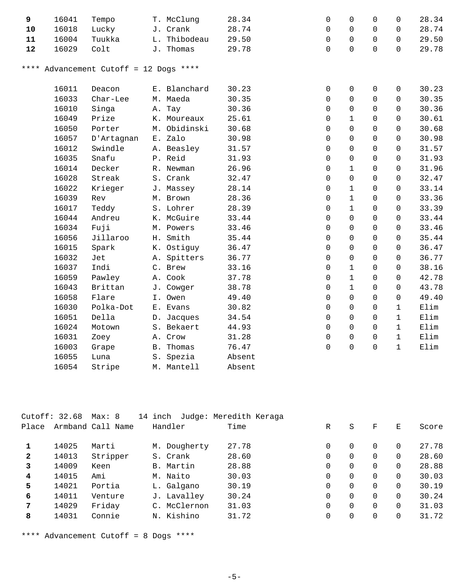| 9          | 16041 | Tempo                             | T. McClung       | 28.34  | 0        | $\mathbf 0$         | $\mathbf 0$ | $\mathbf 0$  | 28.34 |
|------------|-------|-----------------------------------|------------------|--------|----------|---------------------|-------------|--------------|-------|
| 10         | 16018 | Lucky                             | J. Crank         | 28.74  | 0        | $\mathsf{O}$        | $\Omega$    | 0            | 28.74 |
| ${\bf 11}$ | 16004 | Tuukka                            | L. Thibodeau     | 29.50  | 0        | $\mathbf 0$         | $\Omega$    | $\mathbf 0$  | 29.50 |
| 12         | 16029 | Colt                              | J. Thomas        | 29.78  | $\Omega$ | $\Omega$            | $\Omega$    | $\Omega$     | 29.78 |
| * * * *    |       | Advancement Cutoff = 12 Dogs **** |                  |        |          |                     |             |              |       |
|            | 16011 | Deacon                            | E. Blanchard     | 30.23  | 0        | 0                   | 0           | 0            | 30.23 |
|            | 16033 | Char-Lee                          | M. Maeda         | 30.35  | 0        | $\mathbf 0$         | 0           | 0            | 30.35 |
|            | 16010 | Singa                             | A. Tay           | 30.36  | 0        | $\mathbf 0$         | $\Omega$    | $\Omega$     | 30.36 |
|            | 16049 | Prize                             | K. Moureaux      | 25.61  | 0        | $\mathbf 1$         | 0           | 0            | 30.61 |
|            | 16050 | Porter                            | M. Obidinski     | 30.68  | 0        | $\mathbf 0$         | $\Omega$    | $\Omega$     | 30.68 |
|            | 16057 | D'Artagnan                        | E. Zalo          | 30.98  | 0        | $\mathsf{O}\xspace$ | 0           | $\mathbf 0$  | 30.98 |
|            | 16012 | Swindle                           | A. Beasley       | 31.57  | 0        | $\mathsf{O}$        | $\Omega$    | $\mathbf 0$  | 31.57 |
|            | 16035 | Snafu                             | P. Reid          | 31.93  | 0        | $\mathbf 0$         | $\Omega$    | $\mathbf 0$  | 31.93 |
|            | 16014 | Decker                            | R. Newman        | 26.96  | 0        | $\mathbf{1}$        | $\Omega$    | $\mathbf 0$  | 31.96 |
|            | 16028 | Streak                            | S. Crank         | 32.47  | 0        | 0                   | $\Omega$    | $\mathbf 0$  | 32.47 |
|            | 16022 | Krieger                           | J. Massey        | 28.14  | $\Omega$ | $\mathbf{1}$        | $\Omega$    | $\Omega$     | 33.14 |
|            | 16039 | Rev                               | M. Brown         | 28.36  | 0        | $\mathbf 1$         | $\Omega$    | $\mathbf 0$  | 33.36 |
|            | 16017 | Teddy                             | S. Lohrer        | 28.39  | $\Omega$ | $\mathbf{1}$        | $\Omega$    | $\mathbf 0$  | 33.39 |
|            | 16044 | Andreu                            | K. McGuire       | 33.44  | 0        | 0                   | 0           | 0            | 33.44 |
|            | 16034 | Fuji                              | M. Powers        | 33.46  | 0        | 0                   | $\mathbf 0$ | $\Omega$     | 33.46 |
|            | 16056 | Jillaroo                          | H. Smith         | 35.44  | 0        | $\mathsf{O}\xspace$ | 0           | $\mathbf 0$  | 35.44 |
|            | 16015 | Spark                             | K. Ostiguy       | 36.47  | 0        | $\mathbf 0$         | $\mathbf 0$ | $\mathsf{O}$ | 36.47 |
|            | 16032 | Jet                               | A. Spitters      | 36.77  | 0        | $\mathbf 0$         | $\Omega$    | $\mathbf 0$  | 36.77 |
|            | 16037 | Indi                              | C. Brew          | 33.16  | 0        | $\mathbf{1}$        | $\Omega$    | $\mathsf{O}$ | 38.16 |
|            | 16059 | Pawley                            | A. Cook          | 37.78  | 0        | $\mathbf 1$         | $\Omega$    | $\mathbf 0$  | 42.78 |
|            | 16043 | Brittan                           | J. Cowger        | 38.78  | 0        | $\mathbf{1}$        | $\Omega$    | $\Omega$     | 43.78 |
|            | 16058 | Flare                             | I. Owen          | 49.40  | 0        | $\mathsf{O}$        | $\Omega$    | $\mathbf 0$  | 49.40 |
|            | 16030 | Polka-Dot                         | E. Evans         | 30.82  | 0        | $\Omega$            | $\Omega$    | $\mathbf{1}$ | Elim  |
|            | 16051 | Della                             | D. Jacques       | 34.54  | 0        | $\Omega$            | $\Omega$    | $\mathbf{1}$ | Elim  |
|            | 16024 | Motown                            | S. Bekaert       | 44.93  | 0        | $\Omega$            | $\Omega$    | $\mathbf{1}$ | Elim  |
|            | 16031 | Zoey                              | A. Crow          | 31.28  | 0        | $\mathbf 0$         | 0           | $\mathbf{1}$ | Elim  |
|            | 16003 | Grape                             | <b>B.</b> Thomas | 76.47  | 0        | $\mathbf 0$         | 0           | $\mathbf{1}$ | Elim  |
|            | 16055 | Luna                              | S. Spezia        | Absent |          |                     |             |              |       |
|            | 16054 | Stripe                            | M. Mantell       | Absent |          |                     |             |              |       |

|              | Cutoff: 32.68 | Max: 8            | 14 inch  |              | Judge: Meredith Keraga |   |          |          |          |       |
|--------------|---------------|-------------------|----------|--------------|------------------------|---|----------|----------|----------|-------|
| Place        |               | Armband Call Name | Handler  |              | Time                   | R | S        | F        | Е        | Score |
|              | 14025         | Marti             |          | M. Dougherty | 27.78                  | 0 | 0        | $\Omega$ | 0        | 27.78 |
| $\mathbf{2}$ | 14013         | Stripper          | S. Crank |              | 28.60                  | 0 | $\Omega$ |          | $\Omega$ | 28.60 |
| 3            | 14009         | Keen              |          | B. Martin    | 28.88                  | 0 | 0        | $\Omega$ | $\Omega$ | 28.88 |
| 4            | 14015         | Ami               | M. Naito |              | 30.03                  | 0 | $\Omega$ | $\Omega$ | $\Omega$ | 30.03 |
| 5            | 14021         | Portia            |          | L. Galgano   | 30.19                  | 0 | $\Omega$ | $\Omega$ | $\Omega$ | 30.19 |
| 6            | 14011         | Venture           |          | J. Lavalley  | 30.24                  | 0 | 0        | $\Omega$ | $\Omega$ | 30.24 |
| 7            | 14029         | Friday            |          | C. McClernon | 31.03                  | 0 | $\Omega$ | $\Omega$ | $\Omega$ | 31.03 |
| 8            | 14031         | Connie            |          | N. Kishino   | 31.72                  | 0 | 0        |          | 0        | 31.72 |
|              |               |                   |          |              |                        |   |          |          |          |       |

\*\*\*\* Advancement Cutoff = 8 Dogs \*\*\*\*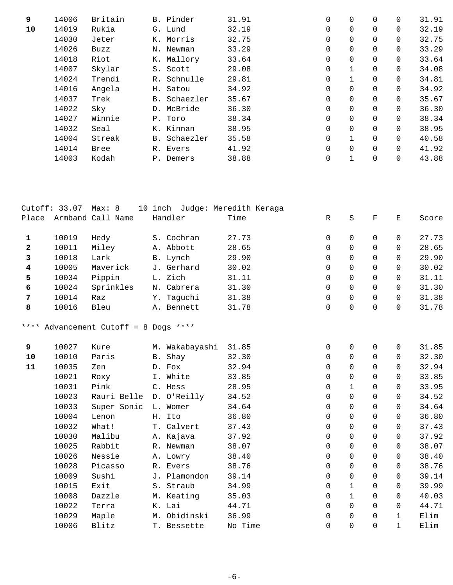| 9  | 14006 | Britain | B. Pinder    | 31.91 | 0        | 0            | $\Omega$    | $\Omega$ | 31.91 |
|----|-------|---------|--------------|-------|----------|--------------|-------------|----------|-------|
| 10 | 14019 | Rukia   | G. Lund      | 32.19 | 0        | $\mathbf 0$  | 0           | 0        | 32.19 |
|    | 14030 | Jeter   | K. Morris    | 32.75 | 0        | 0            | $\Omega$    | $\Omega$ | 32.75 |
|    | 14026 | Buzz    | N. Newman    | 33.29 | 0        | $\mathbf 0$  | 0           | $\Omega$ | 33.29 |
|    | 14018 | Riot    | K. Mallory   | 33.64 | 0        | $\Omega$     | $\Omega$    | $\Omega$ | 33.64 |
|    | 14007 | Skylar  | S. Scott     | 29.08 | 0        |              | $\mathbf 0$ | $\Omega$ | 34.08 |
|    | 14024 | Trendi  | R. Schnulle  | 29.81 | $\Omega$ | $\mathbf{1}$ | $\Omega$    | $\Omega$ | 34.81 |
|    | 14016 | Angela  | H. Satou     | 34.92 | 0        | $\mathbf 0$  | $\mathbf 0$ | $\Omega$ | 34.92 |
|    | 14037 | Trek    | B. Schaezler | 35.67 | $\Omega$ | $\mathbf 0$  | $\Omega$    | $\Omega$ | 35.67 |
|    | 14022 | Sky     | D. McBride   | 36.30 | 0        | $\mathbf 0$  | $\mathbf 0$ | $\Omega$ | 36.30 |
|    | 14027 | Winnie  | P. Toro      | 38.34 | $\Omega$ | $\Omega$     | $\Omega$    | $\Omega$ | 38.34 |
|    | 14032 | Seal    | K. Kinnan    | 38.95 | 0        | 0            | 0           | $\Omega$ | 38.95 |
|    | 14004 | Streak  | B. Schaezler | 35.58 | $\Omega$ | $\mathbf{1}$ | $\Omega$    | $\Omega$ | 40.58 |
|    | 14014 | Bree    | R. Evers     | 41.92 | 0        | $\mathbf 0$  | 0           | $\Omega$ | 41.92 |
|    | 14003 | Kodah   | P. Demers    | 38.88 | 0        | $\mathbf{1}$ | 0           | $\Omega$ | 43.88 |
|    |       |         |              |       |          |              |             |          |       |

|                         | Cutoff: 33.07 | Max: 8                           |                | 10 inch Judge: Meredith Keraga |             |              |             |                     |       |
|-------------------------|---------------|----------------------------------|----------------|--------------------------------|-------------|--------------|-------------|---------------------|-------|
| Place                   |               | Armband Call Name                | Handler        | Time                           | R           | $\rm S$      | $\mathbf F$ | Ε                   | Score |
|                         |               |                                  |                |                                |             |              |             |                     |       |
| 1                       | 10019         | Hedy                             | S. Cochran     | 27.73                          | 0           | 0            | 0           | 0                   | 27.73 |
| $\overline{\mathbf{2}}$ | 10011         | Miley                            | A. Abbott      | 28.65                          | $\mathbf 0$ | $\Omega$     | $\Omega$    | $\Omega$            | 28.65 |
| 3                       | 10018         | Lark                             | B. Lynch       | 29.90                          | $\mathbf 0$ | $\Omega$     | 0           | $\Omega$            | 29.90 |
| 4                       | 10005         | Maverick                         | J. Gerhard     | 30.02                          | $\mathbf 0$ | 0            | 0           | $\mathbf 0$         | 30.02 |
| 5                       | 10034         | Pippin                           | L. Zich        | 31.11                          | 0           | 0            | 0           | $\mathbf 0$         | 31.11 |
| 6                       | 10024         | Sprinkles                        | N. Cabrera     | 31.30                          | $\Omega$    | $\Omega$     | $\Omega$    | $\Omega$            | 31.30 |
| 7                       | 10014         | Raz                              | Y. Taguchi     | 31.38                          | $\mathbf 0$ | $\mathbf 0$  | $\Omega$    | $\Omega$            | 31.38 |
| 8                       | 10016         | Bleu                             | A. Bennett     | 31.78                          | $\mathsf 0$ | 0            | 0           | 0                   | 31.78 |
| * * * *                 |               | Advancement Cutoff = 8 Dogs **** |                |                                |             |              |             |                     |       |
| 9                       | 10027         | Kure                             | M. Wakabayashi | 31.85                          | 0           | 0            | 0           | $\mathsf{O}\xspace$ | 31.85 |
| 10                      | 10010         | Paris                            | B. Shay        | 32.30                          | 0           | 0            | 0           | $\mathbf 0$         | 32.30 |
| 11                      | 10035         | Zen                              | D. Fox         | 32.94                          | $\Omega$    | $\Omega$     | $\Omega$    | $\Omega$            | 32.94 |
|                         | 10021         | Roxy                             | I. White       | 33.85                          | $\mathbf 0$ | 0            | $\Omega$    | $\Omega$            | 33.85 |
|                         | 10031         | Pink                             | C. Hess        | 28.95                          | 0           | $\mathbf{1}$ | 0           | $\mathbf 0$         | 33.95 |
|                         | 10023         | Rauri Belle                      | D. O'Reilly    | 34.52                          | 0           | 0            | 0           | $\mathbf 0$         | 34.52 |
|                         | 10033         | Super Sonic                      | L. Womer       | 34.64                          | $\Omega$    | $\Omega$     | 0           | $\Omega$            | 34.64 |
|                         | 10004         | Lenon                            | H. Ito         | 36.80                          | $\mathbf 0$ | $\Omega$     | $\Omega$    | $\Omega$            | 36.80 |
|                         | 10032         | What!                            | T. Calvert     | 37.43                          | 0           | 0            | 0           | 0                   | 37.43 |
|                         | 10030         | Malibu                           | A. Kajava      | 37.92                          | 0           | 0            | $\Omega$    | $\mathbf 0$         | 37.92 |
|                         | 10025         | Rabbit                           | R. Newman      | 38.07                          | 0           | 0            | 0           | 0                   | 38.07 |
|                         | 10026         | Nessie                           | A. Lowry       | 38.40                          | $\mathbf 0$ | $\Omega$     | $\Omega$    | $\Omega$            | 38.40 |
|                         | 10028         | Picasso                          | R. Evers       | 38.76                          | 0           | 0            | 0           | $\mathbf 0$         | 38.76 |
|                         | 10009         | Sushi                            | J. Plamondon   | 39.14                          | $\mathbf 0$ | 0            | $\Omega$    | $\mathbf 0$         | 39.14 |
|                         | 10015         | Exit                             | S. Straub      | 34.99                          | 0           | $\mathbf{1}$ | $\Omega$    | 0                   | 39.99 |
|                         | 10008         | Dazzle                           | M. Keating     | 35.03                          | $\mathbf 0$ | $\mathbf{1}$ | $\Omega$    | $\Omega$            | 40.03 |
|                         | 10022         | Terra                            | K. Lai         | 44.71                          | 0           | $\mathbf 0$  | $\mathbf 0$ | $\mathsf{O}$        | 44.71 |
|                         | 10029         | Maple                            | M. Obidinski   | 36.99                          | 0           | 0            | $\Omega$    | $\mathbf{1}$        | Elim  |
|                         | 10006         | Blitz                            | T. Bessette    | No Time                        | $\mathbf 0$ | 0            | $\Omega$    | $\mathbf{1}$        | Elim  |
|                         |               |                                  |                |                                |             |              |             |                     |       |